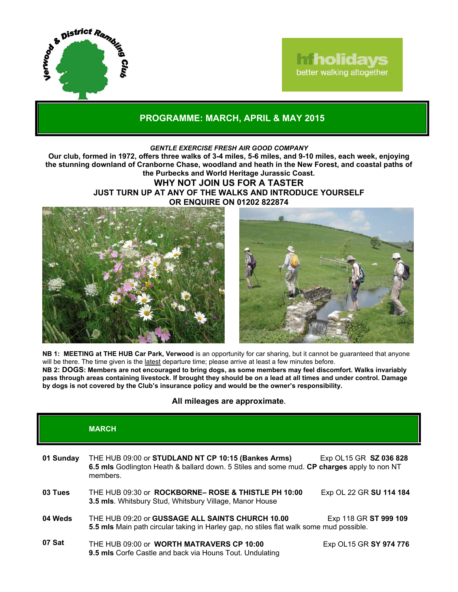

## **Iniholidays** better walking altogether

## **PROGRAMME: MARCH, APRIL & MAY 2015**

#### *GENTLE EXERCISE FRESH AIR GOOD COMPANY*

**Our club, formed in 1972, offers three walks of 3-4 miles, 5-6 miles, and 9-10 miles, each week, enjoying the stunning downland of Cranborne Chase, woodland and heath in the New Forest, and coastal paths of the Purbecks and World Heritage Jurassic Coast.**

### **WHY NOT JOIN US FOR A TASTER JUST TURN UP AT ANY OF THE WALKS AND INTRODUCE YOURSELF OR ENQUIRE ON 01202 822874**





**NB 1: MEETING at THE HUB Car Park, Verwood** is an opportunity for car sharing, but it cannot be guaranteed that anyone will be there. The time given is the latest departure time; please arrive at least a few minutes before. **NB 2: DOGS: Members are not encouraged to bring dogs, as some members may feel discomfort. Walks invariably pass through areas containing livestock. If brought they should be on a lead at all times and under control. Damage by dogs is not covered by the Club's insurance policy and would be the owner's responsibility.**

#### **All mileages are approximate.**

|           | <b>MARCH</b>                                                                                                                                                  |                         |
|-----------|---------------------------------------------------------------------------------------------------------------------------------------------------------------|-------------------------|
| 01 Sunday | THE HUB 09:00 or STUDLAND NT CP 10:15 (Bankes Arms)<br>6.5 mls Godlington Heath & ballard down. 5 Stiles and some mud. CP charges apply to non NT<br>members. | Exp OL15 GR SZ 036 828  |
| 03 Tues   | THE HUB 09:30 or <b>ROCKBORNE- ROSE &amp; THISTLE PH 10:00</b><br><b>3.5 mls.</b> Whitsbury Stud, Whitsbury Village, Manor House                              | Exp OL 22 GR SU 114 184 |
| 04 Weds   | THE HUB 09:20 or GUSSAGE ALL SAINTS CHURCH 10.00<br>5.5 mls Main path circular taking in Harley gap, no stiles flat walk some mud possible.                   | Exp 118 GR ST 999 109   |
| 07 Sat    | THE HUB 09:00 or WORTH MATRAVERS CP 10:00<br>9.5 mls Corfe Castle and back via Houns Tout. Undulating                                                         | Exp OL15 GR SY 974 776  |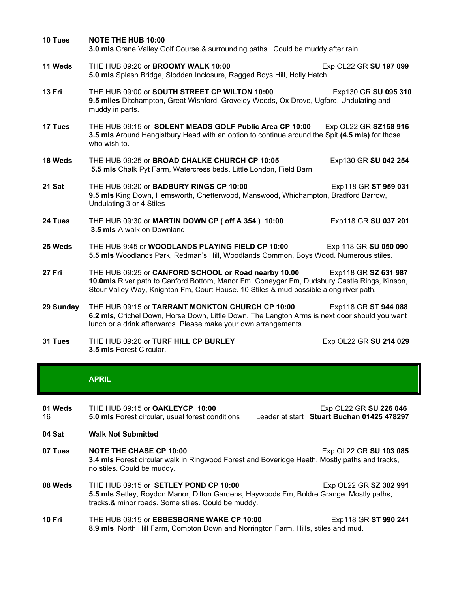| 10 Tues   | <b>NOTE THE HUB 10:00</b><br>3.0 mls Crane Valley Golf Course & surrounding paths. Could be muddy after rain.                                                                                                                                                         |                        |
|-----------|-----------------------------------------------------------------------------------------------------------------------------------------------------------------------------------------------------------------------------------------------------------------------|------------------------|
| 11 Weds   | THE HUB 09:20 or BROOMY WALK 10:00<br>5.0 mls Splash Bridge, Slodden Inclosure, Ragged Boys Hill, Holly Hatch.                                                                                                                                                        | Exp OL22 GR SU 197 099 |
| 13 Fri    | THE HUB 09:00 or SOUTH STREET CP WILTON 10:00<br>9.5 miles Ditchampton, Great Wishford, Groveley Woods, Ox Drove, Ugford. Undulating and<br>muddy in parts.                                                                                                           | Exp130 GR SU 095 310   |
| 17 Tues   | THE HUB 09:15 or SOLENT MEADS GOLF Public Area CP 10:00<br>Exp OL22 GR SZ158 916<br>3.5 mls Around Hengistbury Head with an option to continue around the Spit (4.5 mls) for those<br>who wish to.                                                                    |                        |
| 18 Weds   | THE HUB 09:25 or BROAD CHALKE CHURCH CP 10:05<br>5.5 mls Chalk Pyt Farm, Watercress beds, Little London, Field Barn                                                                                                                                                   | Exp130 GR SU 042 254   |
| 21 Sat    | THE HUB 09:20 or <b>BADBURY RINGS CP 10:00</b><br>Exp118 GR ST 959 031<br>9.5 mls King Down, Hemsworth, Chetterwood, Manswood, Whichampton, Bradford Barrow,<br>Undulating 3 or 4 Stiles                                                                              |                        |
| 24 Tues   | THE HUB 09:30 or MARTIN DOWN CP ( off A 354 ) 10:00<br>3.5 mls A walk on Downland                                                                                                                                                                                     | Exp118 GR SU 037 201   |
| 25 Weds   | THE HUB 9:45 or WOODLANDS PLAYING FIELD CP 10:00<br>5.5 mls Woodlands Park, Redman's Hill, Woodlands Common, Boys Wood. Numerous stiles.                                                                                                                              | Exp 118 GR SU 050 090  |
| 27 Fri    | THE HUB 09:25 or CANFORD SCHOOL or Road nearby 10.00<br>Exp118 GR SZ 631 987<br>10.0mls River path to Canford Bottom, Manor Fm, Coneygar Fm, Dudsbury Castle Rings, Kinson,<br>Stour Valley Way, Knighton Fm, Court House. 10 Stiles & mud possible along river path. |                        |
| 29 Sunday | THE HUB 09:15 or TARRANT MONKTON CHURCH CP 10:00<br>6.2 mls, Crichel Down, Horse Down, Little Down. The Langton Arms is next door should you want<br>lunch or a drink afterwards. Please make your own arrangements.                                                  | Exp118 GR ST 944 088   |
| 31 Tues   | THE HUB 09:20 or TURF HILL CP BURLEY                                                                                                                                                                                                                                  | Exp OL22 GR SU 214 029 |

**3.5 mls** Forest Circular.

#### **APRIL**

**01 Weds** 16 THE HUB 09:15 or **OAKLEYCP 10:00** Exp OL22 GR **SU 226 046**

**5.0 mls** Forest circular, usual forest conditions Leader at start **Stuart Buchan 01425 478297**

- **04 Sat Walk Not Submitted**
- **07 Tues NOTE THE CHASE CP 10:00** Exp OL22 GR **SU 103 085 3.4 mls** Forest circular walk in Ringwood Forest and Boveridge Heath. Mostly paths and tracks, no stiles. Could be muddy.
- **08 Weds** THE HUB 09:15 or **SETLEY POND CP 10:00 Exp OL22 GR SZ 302 991 5.5 mls** Setley, Roydon Manor, Dilton Gardens, Haywoods Fm, Boldre Grange. Mostly paths, tracks.& minor roads. Some stiles. Could be muddy.
- **10 Fri** THE HUB 09:15 or **EBBESBORNE WAKE CP 10:00** Exp118 GR **ST 990 241 8.9 mls** North Hill Farm, Compton Down and Norrington Farm. Hills, stiles and mud.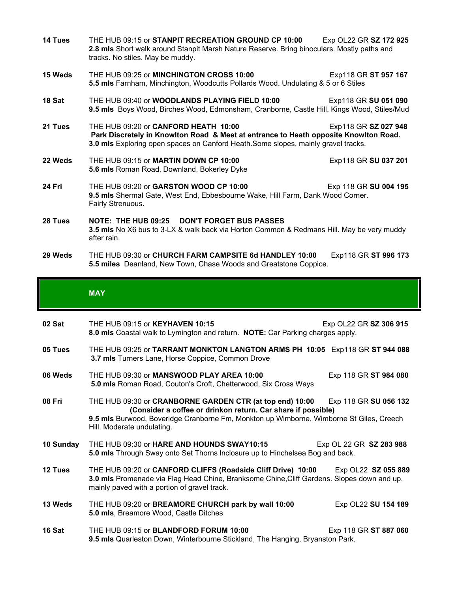| 14 Tues       | THE HUB 09:15 or STANPIT RECREATION GROUND CP 10:00<br>2.8 mls Short walk around Stanpit Marsh Nature Reserve. Bring binoculars. Mostly paths and<br>tracks. No stiles. May be muddy.                                                      | Exp OL22 GR SZ 172 925 |
|---------------|--------------------------------------------------------------------------------------------------------------------------------------------------------------------------------------------------------------------------------------------|------------------------|
| 15 Weds       | THE HUB 09:25 or MINCHINGTON CROSS 10:00<br>5.5 mls Farnham, Minchington, Woodcutts Pollards Wood. Undulating & 5 or 6 Stiles                                                                                                              | Exp118 GR ST 957 167   |
| 18 Sat        | THE HUB 09:40 or WOODLANDS PLAYING FIELD 10:00<br>9.5 mls Boys Wood, Birches Wood, Edmonsham, Cranborne, Castle Hill, Kings Wood, Stiles/Mud                                                                                               | Exp118 GR SU 051 090   |
| 21 Tues       | Exp118 GR SZ 027 948<br>THE HUB 09:20 or CANFORD HEATH 10:00<br>Park Discretely in Knowlton Road & Meet at entrance to Heath opposite Knowlton Road.<br>3.0 mls Exploring open spaces on Canford Heath. Some slopes, mainly gravel tracks. |                        |
| 22 Weds       | THE HUB 09:15 or MARTIN DOWN CP 10:00<br>5.6 mls Roman Road, Downland, Bokerley Dyke                                                                                                                                                       | Exp118 GR SU 037 201   |
| <b>24 Fri</b> | THE HUB 09:20 or GARSTON WOOD CP 10:00<br>9.5 mls Shermal Gate, West End, Ebbesbourne Wake, Hill Farm, Dank Wood Corner.<br>Fairly Strenuous.                                                                                              | Exp 118 GR SU 004 195  |
| 28 Tues       | NOTE: THE HUB 09:25 DON'T FORGET BUS PASSES<br>3.5 mls No X6 bus to 3-LX & walk back via Horton Common & Redmans Hill. May be very muddy<br>after rain.                                                                                    |                        |
| 29 Weds       | THE HUB 09:30 or CHURCH FARM CAMPSITE 6d HANDLEY 10:00<br>5.5 miles Deanland, New Town, Chase Woods and Greatstone Coppice.                                                                                                                | Exp118 GR ST 996 173   |

## **MAY**

| 02 Sat    | THE HUB 09:15 or <b>KEYHAVEN 10:15</b><br>8.0 mls Coastal walk to Lymington and return. NOTE: Car Parking charges apply.                                                                                                                                                | Exp OL22 GR SZ 306 915 |  |
|-----------|-------------------------------------------------------------------------------------------------------------------------------------------------------------------------------------------------------------------------------------------------------------------------|------------------------|--|
| 05 Tues   | THE HUB 09:25 or TARRANT MONKTON LANGTON ARMS PH 10:05 Exp118 GR ST 944 088<br>3.7 mls Turners Lane, Horse Coppice, Common Drove                                                                                                                                        |                        |  |
| 06 Weds   | THE HUB 09:30 or MANSWOOD PLAY AREA 10:00<br>5.0 mls Roman Road, Couton's Croft, Chetterwood, Six Cross Ways                                                                                                                                                            | Exp 118 GR ST 984 080  |  |
| 08 Fri    | THE HUB 09:30 or CRANBORNE GARDEN CTR (at top end) 10:00 Exp 118 GR SU 056 132<br>(Consider a coffee or drinkon return. Car share if possible)<br>9.5 mls Burwood, Boveridge Cranborne Fm, Monkton up Wimborne, Wimborne St Giles, Creech<br>Hill. Moderate undulating. |                        |  |
| 10 Sunday | THE HUB 09:30 or <b>HARE AND HOUNDS SWAY10:15</b><br>Exp OL 22 GR SZ 283 988<br>5.0 mls Through Sway onto Set Thorns Inclosure up to Hinchelsea Bog and back.                                                                                                           |                        |  |
| 12 Tues   | THE HUB 09:20 or CANFORD CLIFFS (Roadside Cliff Drive) 10:00<br>3.0 mls Promenade via Flag Head Chine, Branksome Chine, Cliff Gardens. Slopes down and up,<br>mainly paved with a portion of gravel track.                                                              | Exp OL22 SZ 055 889    |  |
| 13 Weds   | THE HUB 09:20 or BREAMORE CHURCH park by wall 10:00<br>5.0 mls, Breamore Wood, Castle Ditches                                                                                                                                                                           | Exp OL22 SU 154 189    |  |
| 16 Sat    | THE HUB 09:15 or <b>BLANDFORD FORUM 10:00</b><br>9.5 mls Quarleston Down, Winterbourne Stickland, The Hanging, Bryanston Park.                                                                                                                                          | Exp 118 GR ST 887 060  |  |